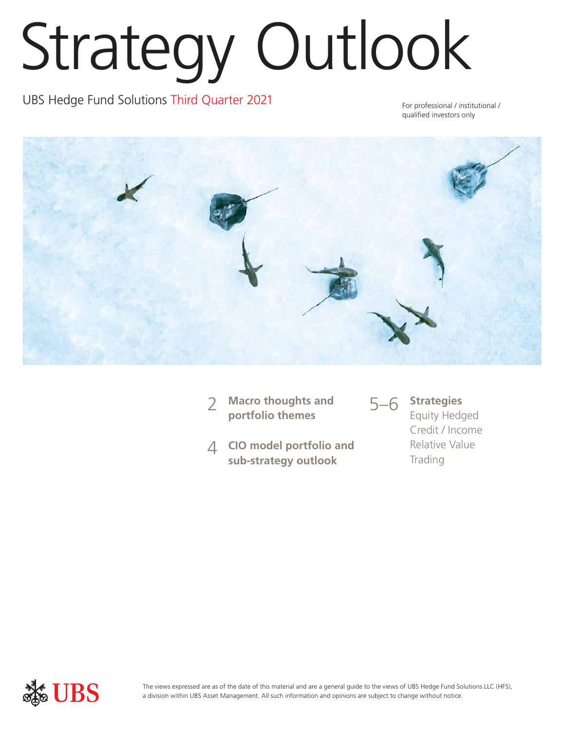# Strategy Outlook

UBS Hedge Fund Solutions Third Quarter 2021 For professional / institutional /

qualified investors only



- **Macro thoughts and portfolio themes** 2
- **CIO model portfolio and**  4 **sub-strategy outlook**



Equity Hedged Credit / Income Relative Value Trading



The views expressed are as of the date of this material and are a general guide to the views of UBS Hedge Fund Solutions LLC (HFS), a division within UBS Asset Management. All such information and opinions are subject to change without notice.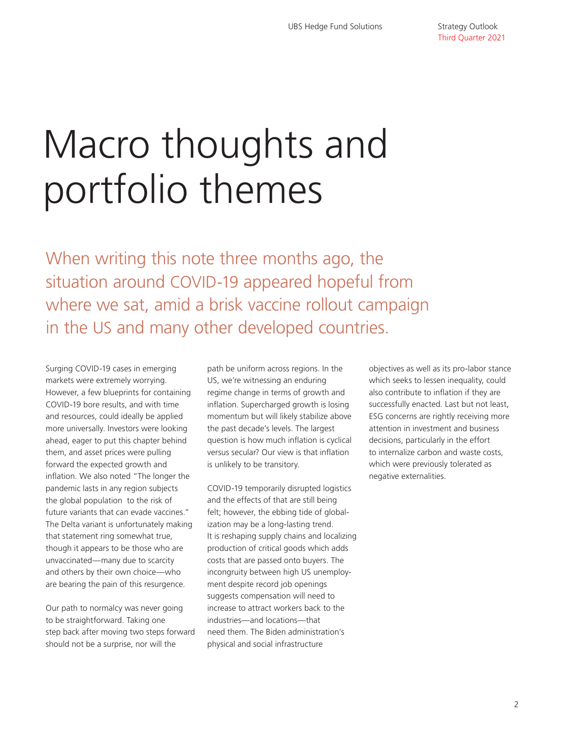## Macro thoughts and portfolio themes

When writing this note three months ago, the situation around COVID-19 appeared hopeful from where we sat, amid a brisk vaccine rollout campaign in the US and many other developed countries.

Surging COVID-19 cases in emerging markets were extremely worrying. However, a few blueprints for containing COVID-19 bore results, and with time and resources, could ideally be applied more universally. Investors were looking ahead, eager to put this chapter behind them, and asset prices were pulling forward the expected growth and inflation. We also noted "The longer the pandemic lasts in any region subjects the global population to the risk of future variants that can evade vaccines." The Delta variant is unfortunately making that statement ring somewhat true, though it appears to be those who are unvaccinated—many due to scarcity and others by their own choice—who are bearing the pain of this resurgence.

Our path to normalcy was never going to be straightforward. Taking one step back after moving two steps forward should not be a surprise, nor will the

path be uniform across regions. In the US, we're witnessing an enduring regime change in terms of growth and inflation. Supercharged growth is losing momentum but will likely stabilize above the past decade's levels. The largest question is how much inflation is cyclical versus secular? Our view is that inflation is unlikely to be transitory.

COVID-19 temporarily disrupted logistics and the effects of that are still being felt; however, the ebbing tide of globalization may be a long-lasting trend. It is reshaping supply chains and localizing production of critical goods which adds costs that are passed onto buyers. The incongruity between high US unemployment despite record job openings suggests compensation will need to increase to attract workers back to the industries—and locations—that need them. The Biden administration's physical and social infrastructure

objectives as well as its pro-labor stance which seeks to lessen inequality, could also contribute to inflation if they are successfully enacted. Last but not least, ESG concerns are rightly receiving more attention in investment and business decisions, particularly in the effort to internalize carbon and waste costs, which were previously tolerated as negative externalities.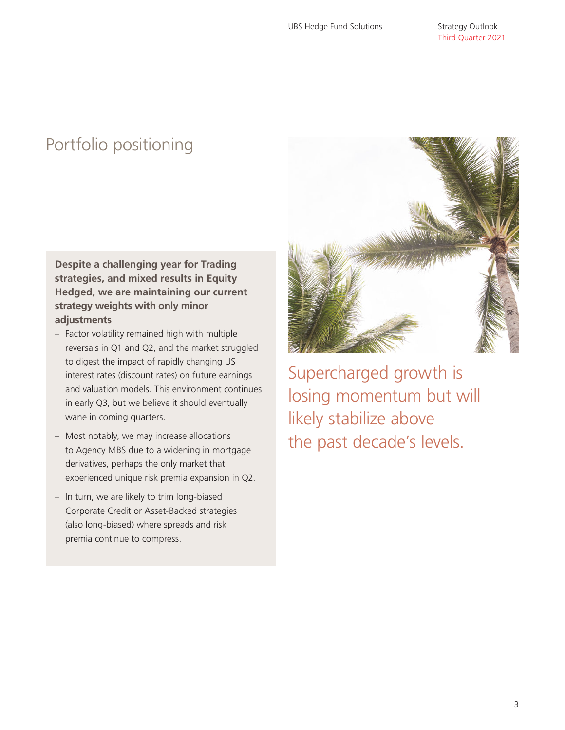### Portfolio positioning

**Despite a challenging year for Trading strategies, and mixed results in Equity Hedged, we are maintaining our current strategy weights with only minor adjustments**

- Factor volatility remained high with multiple reversals in Q1 and Q2, and the market struggled to digest the impact of rapidly changing US interest rates (discount rates) on future earnings and valuation models. This environment continues in early Q3, but we believe it should eventually wane in coming quarters.
- Most notably, we may increase allocations to Agency MBS due to a widening in mortgage derivatives, perhaps the only market that experienced unique risk premia expansion in Q2.
- In turn, we are likely to trim long-biased Corporate Credit or Asset-Backed strategies (also long-biased) where spreads and risk premia continue to compress.



Supercharged growth is losing momentum but will likely stabilize above the past decade's levels.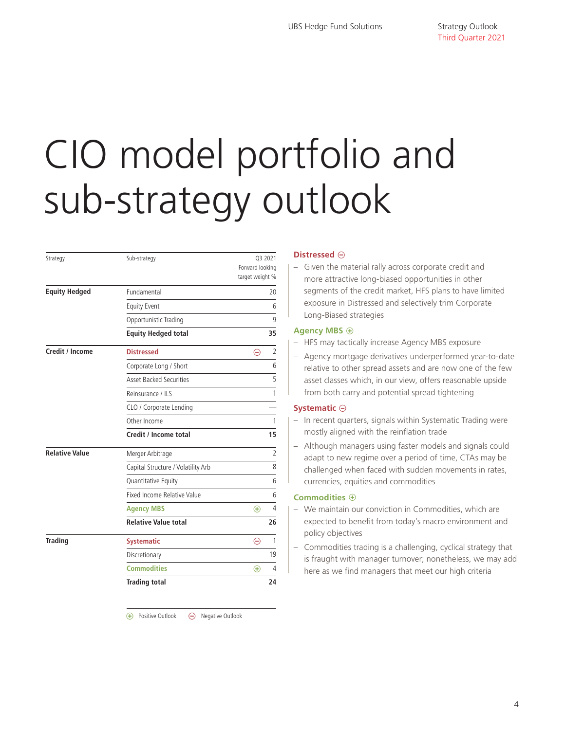## CIO model portfolio and sub-strategy outlook

| Strategy              | Sub-strategy                       | Forward looking<br>target weight % | Q3 2021        |
|-----------------------|------------------------------------|------------------------------------|----------------|
| <b>Equity Hedged</b>  | Fundamental                        |                                    | 20             |
|                       | <b>Equity Event</b>                |                                    | 6              |
|                       | Opportunistic Trading              |                                    | 9              |
|                       | <b>Equity Hedged total</b>         |                                    | 35             |
| Credit / Income       | <b>Distressed</b>                  | $\ominus$                          | $\overline{2}$ |
|                       | Corporate Long / Short             |                                    | 6              |
|                       | <b>Asset Backed Securities</b>     |                                    | 5              |
|                       | Reinsurance / ILS                  |                                    | 1              |
|                       | CLO / Corporate Lending            |                                    |                |
|                       | Other Income                       |                                    | 1              |
|                       | Credit / Income total              |                                    | 15             |
| <b>Relative Value</b> | Merger Arbitrage                   |                                    | $\overline{2}$ |
|                       | Capital Structure / Volatility Arb |                                    | 8              |
|                       | Quantitative Equity                |                                    | 6              |
|                       | Fixed Income Relative Value        |                                    | 6              |
|                       | <b>Agency MBS</b>                  | $\bigoplus$                        | 4              |
|                       | <b>Relative Value total</b>        |                                    | 26             |
| <b>Trading</b>        | <b>Systematic</b>                  | ⊝                                  | 1              |
|                       | Discretionary                      |                                    | 19             |
|                       | <b>Commodities</b>                 | $\bigoplus$                        | 4              |
|                       | <b>Trading total</b>               |                                    | 24             |

 $\Theta$  Negative Outlook (+) Positive Outlook

#### **Distressed**  $\ominus$

– Given the material rally across corporate credit and more attractive long-biased opportunities in other segments of the credit market, HFS plans to have limited exposure in Distressed and selectively trim Corporate Long-Biased strategies

#### **Agency MBS**  $\oplus$

- HFS may tactically increase Agency MBS exposure
- Agency mortgage derivatives underperformed year-to-date relative to other spread assets and are now one of the few asset classes which, in our view, offers reasonable upside from both carry and potential spread tightening

#### **Systematic**  $\ominus$

- In recent quarters, signals within Systematic Trading were mostly aligned with the reinflation trade
- Although managers using faster models and signals could adapt to new regime over a period of time, CTAs may be challenged when faced with sudden movements in rates, currencies, equities and commodities

#### **Commodities**  $\oplus$

- We maintain our conviction in Commodities, which are expected to benefit from today's macro environment and policy objectives
- Commodities trading is a challenging, cyclical strategy that is fraught with manager turnover; nonetheless, we may add here as we find managers that meet our high criteria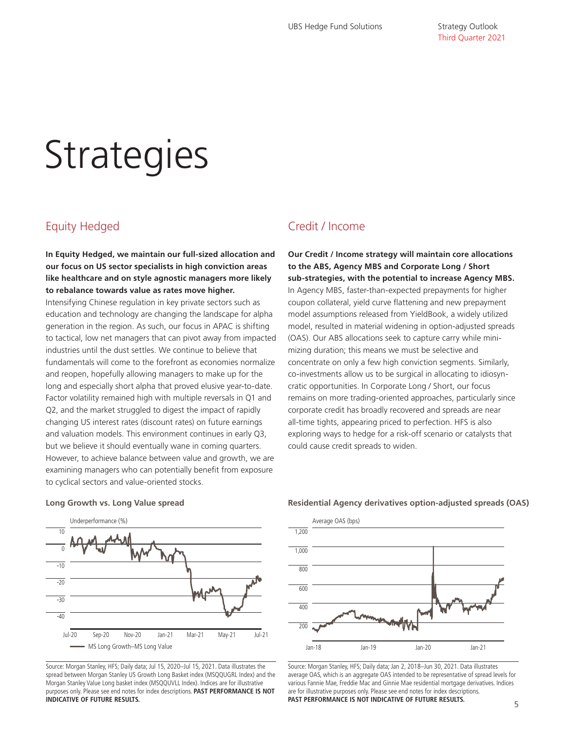## **Strategies**

#### Equity Hedged

**In Equity Hedged, we maintain our full-sized allocation and our focus on US sector specialists in high conviction areas like healthcare and on style agnostic managers more likely to rebalance towards value as rates move higher.**

Intensifying Chinese regulation in key private sectors such as education and technology are changing the landscape for alpha generation in the region. As such, our focus in APAC is shifting to tactical, low net managers that can pivot away from impacted industries until the dust settles. We continue to believe that fundamentals will come to the forefront as economies normalize and reopen, hopefully allowing managers to make up for the long and especially short alpha that proved elusive year-to-date. Factor volatility remained high with multiple reversals in Q1 and Q2, and the market struggled to digest the impact of rapidly changing US interest rates (discount rates) on future earnings and valuation models. This environment continues in early Q3, but we believe it should eventually wane in coming quarters. However, to achieve balance between value and growth, we are examining managers who can potentially benefit from exposure to cyclical sectors and value-oriented stocks.

#### Credit / Income

**Our Credit / Income strategy will maintain core allocations to the ABS, Agency MBS and Corporate Long / Short sub-strategies, with the potential to increase Agency MBS.**  In Agency MBS, faster-than-expected prepayments for higher coupon collateral, yield curve flattening and new prepayment model assumptions released from YieldBook, a widely utilized model, resulted in material widening in option-adjusted spreads (OAS). Our ABS allocations seek to capture carry while minimizing duration; this means we must be selective and concentrate on only a few high conviction segments. Similarly, co-investments allow us to be surgical in allocating to idiosyncratic opportunities. In Corporate Long / Short, our focus remains on more trading-oriented approaches, particularly since corporate credit has broadly recovered and spreads are near all-time tights, appearing priced to perfection. HFS is also exploring ways to hedge for a risk-off scenario or catalysts that could cause credit spreads to widen.



Source: Morgan Stanley, HFS; Daily data; Jul 15, 2020–Jul 15, 2021. Data illustrates the spread between Morgan Stanley US Growth Long Basket index (MSQQUGRL Index) and the Morgan Stanley Value Long basket index (MSQQUVLL Index). Indices are for illustrative purposes only. Please see end notes for index descriptions. **PAST PERFORMANCE IS NOT INDICATIVE OF FUTURE RESULTS.**

#### **Long Growth vs. Long Value spread Residential Agency derivatives option-adjusted spreads (OAS)**



Source: Morgan Stanley, HFS; Daily data; Jan 2, 2018–Jun 30, 2021. Data illustrates average OAS, which is an aggregate OAS intended to be representative of spread levels for various Fannie Mae, Freddie Mac and Ginnie Mae residential mortgage derivatives. Indices are for illustrative purposes only. Please see end notes for index descriptions. **PAST PERFORMANCE IS NOT INDICATIVE OF FUTURE RESULTS.**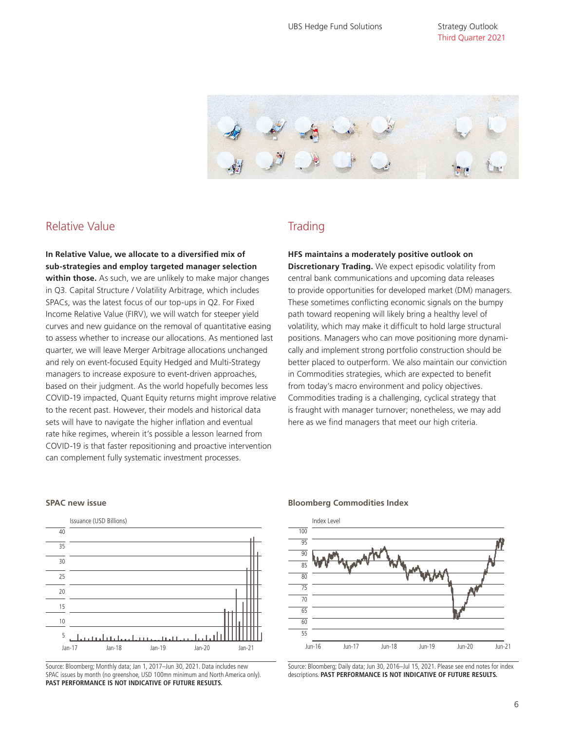Strategy Outlook Third Quarter 2021



#### Relative Value

**In Relative Value, we allocate to a diversified mix of sub-strategies and employ targeted manager selection within those.** As such, we are unlikely to make major changes in Q3. Capital Structure / Volatility Arbitrage, which includes SPACs, was the latest focus of our top-ups in Q2. For Fixed Income Relative Value (FIRV), we will watch for steeper yield curves and new guidance on the removal of quantitative easing to assess whether to increase our allocations. As mentioned last quarter, we will leave Merger Arbitrage allocations unchanged and rely on event-focused Equity Hedged and Multi-Strategy managers to increase exposure to event-driven approaches, based on their judgment. As the world hopefully becomes less COVID-19 impacted, Quant Equity returns might improve relative to the recent past. However, their models and historical data sets will have to navigate the higher inflation and eventual rate hike regimes, wherein it's possible a lesson learned from COVID-19 is that faster repositioning and proactive intervention can complement fully systematic investment processes.

#### **Trading**

**HFS maintains a moderately positive outlook on Discretionary Trading.** We expect episodic volatility from central bank communications and upcoming data releases to provide opportunities for developed market (DM) managers. These sometimes conflicting economic signals on the bumpy path toward reopening will likely bring a healthy level of volatility, which may make it difficult to hold large structural positions. Managers who can move positioning more dynamically and implement strong portfolio construction should be better placed to outperform. We also maintain our conviction in Commodities strategies, which are expected to benefit from today's macro environment and policy objectives. Commodities trading is a challenging, cyclical strategy that is fraught with manager turnover; nonetheless, we may add here as we find managers that meet our high criteria.



Source: Bloomberg; Monthly data; Jan 1, 2017–Jun 30, 2021. Data includes new SPAC issues by month (no greenshoe, USD 100mn minimum and North America only). **PAST PERFORMANCE IS NOT INDICATIVE OF FUTURE RESULTS.**

#### **SPAC new issue Bloomberg Commodities Index**



Source: Bloomberg; Daily data; Jun 30, 2016–Jul 15, 2021. Please see end notes for index descriptions. **PAST PERFORMANCE IS NOT INDICATIVE OF FUTURE RESULTS.**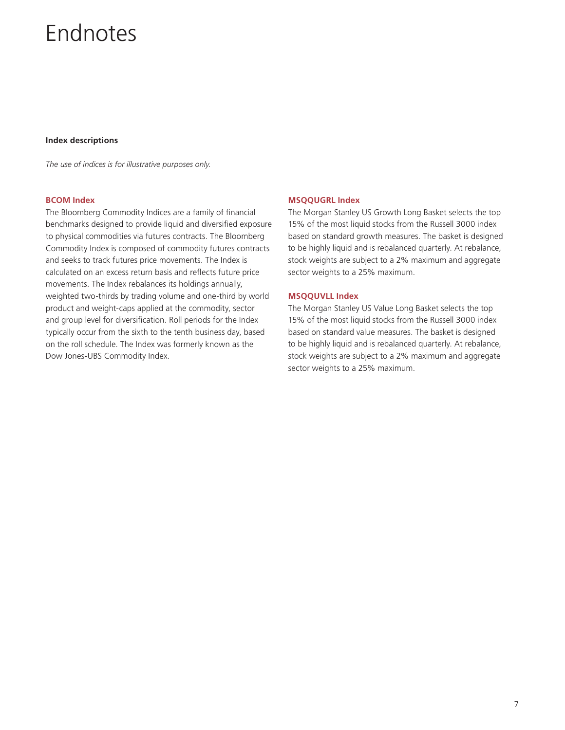## Endnotes

#### **Index descriptions**

*The use of indices is for illustrative purposes only.* 

#### **BCOM Index**

The Bloomberg Commodity Indices are a family of financial benchmarks designed to provide liquid and diversified exposure to physical commodities via futures contracts. The Bloomberg Commodity Index is composed of commodity futures contracts and seeks to track futures price movements. The Index is calculated on an excess return basis and reflects future price movements. The Index rebalances its holdings annually, weighted two-thirds by trading volume and one-third by world product and weight-caps applied at the commodity, sector and group level for diversification. Roll periods for the Index typically occur from the sixth to the tenth business day, based on the roll schedule. The Index was formerly known as the Dow Jones-UBS Commodity Index.

#### **MSQQUGRL Index**

The Morgan Stanley US Growth Long Basket selects the top 15% of the most liquid stocks from the Russell 3000 index based on standard growth measures. The basket is designed to be highly liquid and is rebalanced quarterly. At rebalance, stock weights are subject to a 2% maximum and aggregate sector weights to a 25% maximum.

#### **MSQQUVLL Index**

The Morgan Stanley US Value Long Basket selects the top 15% of the most liquid stocks from the Russell 3000 index based on standard value measures. The basket is designed to be highly liquid and is rebalanced quarterly. At rebalance, stock weights are subject to a 2% maximum and aggregate sector weights to a 25% maximum.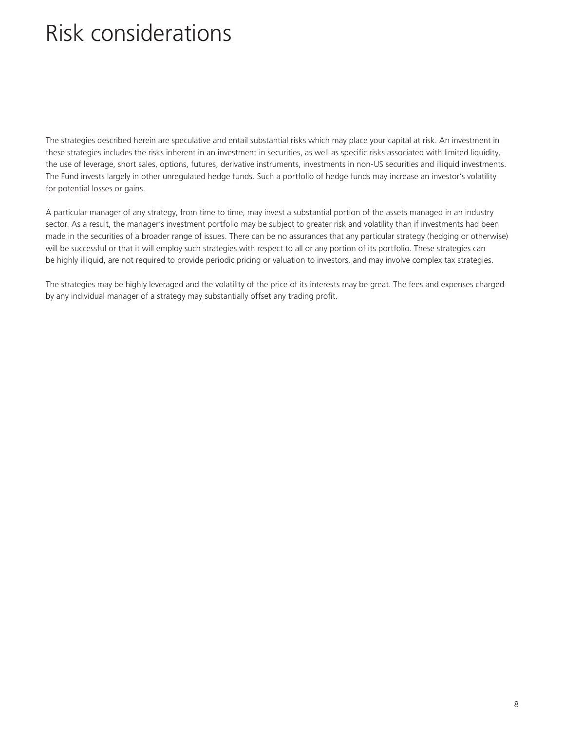## Risk considerations

The strategies described herein are speculative and entail substantial risks which may place your capital at risk. An investment in these strategies includes the risks inherent in an investment in securities, as well as specific risks associated with limited liquidity, the use of leverage, short sales, options, futures, derivative instruments, investments in non-US securities and illiquid investments. The Fund invests largely in other unregulated hedge funds. Such a portfolio of hedge funds may increase an investor's volatility for potential losses or gains.

A particular manager of any strategy, from time to time, may invest a substantial portion of the assets managed in an industry sector. As a result, the manager's investment portfolio may be subject to greater risk and volatility than if investments had been made in the securities of a broader range of issues. There can be no assurances that any particular strategy (hedging or otherwise) will be successful or that it will employ such strategies with respect to all or any portion of its portfolio. These strategies can be highly illiquid, are not required to provide periodic pricing or valuation to investors, and may involve complex tax strategies.

The strategies may be highly leveraged and the volatility of the price of its interests may be great. The fees and expenses charged by any individual manager of a strategy may substantially offset any trading profit.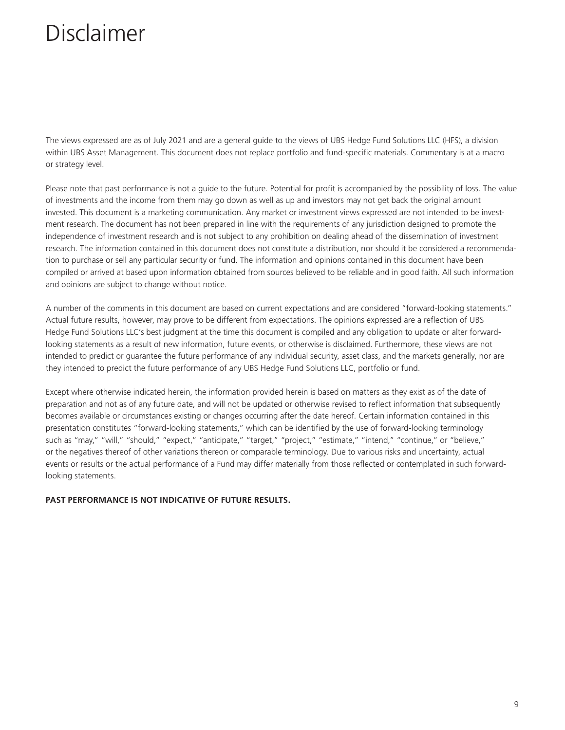The views expressed are as of July 2021 and are a general guide to the views of UBS Hedge Fund Solutions LLC (HFS), a division within UBS Asset Management. This document does not replace portfolio and fund-specific materials. Commentary is at a macro or strategy level.

Please note that past performance is not a guide to the future. Potential for profit is accompanied by the possibility of loss. The value of investments and the income from them may go down as well as up and investors may not get back the original amount invested. This document is a marketing communication. Any market or investment views expressed are not intended to be investment research. The document has not been prepared in line with the requirements of any jurisdiction designed to promote the independence of investment research and is not subject to any prohibition on dealing ahead of the dissemination of investment research. The information contained in this document does not constitute a distribution, nor should it be considered a recommendation to purchase or sell any particular security or fund. The information and opinions contained in this document have been compiled or arrived at based upon information obtained from sources believed to be reliable and in good faith. All such information and opinions are subject to change without notice.

A number of the comments in this document are based on current expectations and are considered "forward-looking statements." Actual future results, however, may prove to be different from expectations. The opinions expressed are a reflection of UBS Hedge Fund Solutions LLC's best judgment at the time this document is compiled and any obligation to update or alter forwardlooking statements as a result of new information, future events, or otherwise is disclaimed. Furthermore, these views are not intended to predict or guarantee the future performance of any individual security, asset class, and the markets generally, nor are they intended to predict the future performance of any UBS Hedge Fund Solutions LLC, portfolio or fund.

Except where otherwise indicated herein, the information provided herein is based on matters as they exist as of the date of preparation and not as of any future date, and will not be updated or otherwise revised to reflect information that subsequently becomes available or circumstances existing or changes occurring after the date hereof. Certain information contained in this presentation constitutes "forward-looking statements," which can be identified by the use of forward-looking terminology such as "may," "will," "should," "expect," "anticipate," "target," "project," "estimate," "intend," "continue," or "believe," or the negatives thereof of other variations thereon or comparable terminology. Due to various risks and uncertainty, actual events or results or the actual performance of a Fund may differ materially from those reflected or contemplated in such forwardlooking statements.

#### **PAST PERFORMANCE IS NOT INDICATIVE OF FUTURE RESULTS.**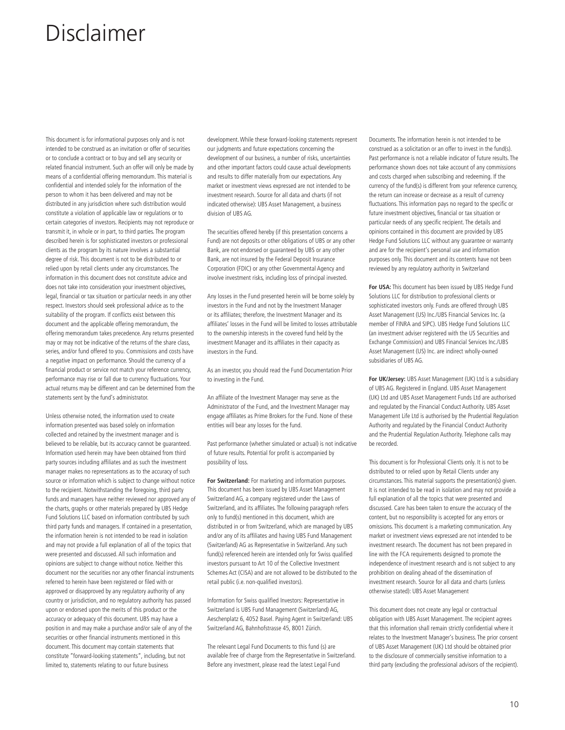This document is for informational purposes only and is not intended to be construed as an invitation or offer of securities or to conclude a contract or to buy and sell any security or related financial instrument. Such an offer will only be made by means of a confidential offering memorandum. This material is confidential and intended solely for the information of the person to whom it has been delivered and may not be distributed in any jurisdiction where such distribution would constitute a violation of applicable law or regulations or to certain categories of investors. Recipients may not reproduce or transmit it, in whole or in part, to third parties. The program described herein is for sophisticated investors or professional clients as the program by its nature involves a substantial degree of risk. This document is not to be distributed to or relied upon by retail clients under any circumstances. The information in this document does not constitute advice and does not take into consideration your investment objectives, legal, financial or tax situation or particular needs in any other respect. Investors should seek professional advice as to the suitability of the program. If conflicts exist between this document and the applicable offering memorandum, the offering memorandum takes precedence. Any returns presented may or may not be indicative of the returns of the share class, series, and/or fund offered to you. Commissions and costs have a negative impact on performance. Should the currency of a financial product or service not match your reference currency, performance may rise or fall due to currency fluctuations. Your actual returns may be different and can be determined from the statements sent by the fund's administrator.

Unless otherwise noted, the information used to create information presented was based solely on information collected and retained by the investment manager and is believed to be reliable, but its accuracy cannot be guaranteed. Information used herein may have been obtained from third party sources including affiliates and as such the investment manager makes no representations as to the accuracy of such source or information which is subject to change without notice to the recipient. Notwithstanding the foregoing, third party funds and managers have neither reviewed nor approved any of the charts, graphs or other materials prepared by UBS Hedge Fund Solutions LLC based on information contributed by such third party funds and managers. If contained in a presentation, the information herein is not intended to be read in isolation and may not provide a full explanation of all of the topics that were presented and discussed. All such information and opinions are subject to change without notice. Neither this document nor the securities nor any other financial instruments referred to herein have been registered or filed with or approved or disapproved by any regulatory authority of any country or jurisdiction, and no regulatory authority has passed upon or endorsed upon the merits of this product or the accuracy or adequacy of this document. UBS may have a position in and may make a purchase and/or sale of any of the securities or other financial instruments mentioned in this document. This document may contain statements that constitute "forward-looking statements", including, but not limited to, statements relating to our future business

development. While these forward-looking statements represent our judgments and future expectations concerning the development of our business, a number of risks, uncertainties and other important factors could cause actual developments and results to differ materially from our expectations. Any market or investment views expressed are not intended to be investment research. Source for all data and charts (if not indicated otherwise): UBS Asset Management, a business division of UBS AG.

The securities offered hereby (if this presentation concerns a Fund) are not deposits or other obligations of UBS or any other Bank, are not endorsed or guaranteed by UBS or any other Bank, are not insured by the Federal Deposit Insurance Corporation (FDIC) or any other Governmental Agency and involve investment risks, including loss of principal invested.

Any losses in the Fund presented herein will be borne solely by investors in the Fund and not by the Investment Manager or its affiliates; therefore, the Investment Manager and its affiliates' losses in the Fund will be limited to losses attributable to the ownership interests in the covered fund held by the investment Manager and its affiliates in their capacity as investors in the Fund.

As an investor, you should read the Fund Documentation Prior to investing in the Fund.

An affiliate of the Investment Manager may serve as the Administrator of the Fund, and the Investment Manager may engage affiliates as Prime Brokers for the Fund. None of these entities will bear any losses for the fund.

Past performance (whether simulated or actual) is not indicative of future results. Potential for profit is accompanied by possibility of loss.

**For Switzerland:** For marketing and information purposes. This document has been issued by UBS Asset Management Switzerland AG, a company registered under the Laws of Switzerland, and its affiliates. The following paragraph refers only to fund(s) mentioned in this document, which are distributed in or from Switzerland, which are managed by UBS and/or any of its affiliates and having UBS Fund Management (Switzerland) AG as Representative in Switzerland. Any such fund(s) referenced herein are intended only for Swiss qualified investors pursuant to Art 10 of the Collective Investment Schemes Act (CISA) and are not allowed to be distributed to the retail public (i.e. non-qualified investors).

Information for Swiss qualified Investors: Representative in Switzerland is UBS Fund Management (Switzerland) AG, Aeschenplatz 6, 4052 Basel. Paying Agent in Switzerland: UBS Switzerland AG, Bahnhofstrasse 45, 8001 Zürich.

The relevant Legal Fund Documents to this fund (s) are available free of charge from the Representative in Switzerland. Before any investment, please read the latest Legal Fund

Documents. The information herein is not intended to be construed as a solicitation or an offer to invest in the fund(s). Past performance is not a reliable indicator of future results. The performance shown does not take account of any commissions and costs charged when subscribing and redeeming. If the currency of the fund(s) is different from your reference currency, the return can increase or decrease as a result of currency fluctuations. This information pays no regard to the specific or future investment objectives, financial or tax situation or particular needs of any specific recipient. The details and opinions contained in this document are provided by UBS Hedge Fund Solutions LLC without any guarantee or warranty and are for the recipient's personal use and information purposes only. This document and its contents have not been reviewed by any regulatory authority in Switzerland

**For USA:** This document has been issued by UBS Hedge Fund Solutions LLC for distribution to professional clients or sophisticated investors only. Funds are offered through UBS Asset Management (US) Inc./UBS Financial Services Inc. (a member of FINRA and SIPC). UBS Hedge Fund Solutions LLC (an investment adviser registered with the US Securities and Exchange Commission) and UBS Financial Services Inc./UBS Asset Management (US) Inc. are indirect wholly-owned subsidiaries of UBS AG.

**For UK/Jersey:** UBS Asset Management (UK) Ltd is a subsidiary of UBS AG. Registered in England. UBS Asset Management (UK) Ltd and UBS Asset Management Funds Ltd are authorised and regulated by the Financial Conduct Authority. UBS Asset Management Life Ltd is authorised by the Prudential Regulation Authority and regulated by the Financial Conduct Authority and the Prudential Regulation Authority. Telephone calls may be recorded.

This document is for Professional Clients only. It is not to be distributed to or relied upon by Retail Clients under any circumstances. This material supports the presentation(s) given. It is not intended to be read in isolation and may not provide a full explanation of all the topics that were presented and discussed. Care has been taken to ensure the accuracy of the content, but no responsibility is accepted for any errors or omissions. This document is a marketing communication. Any market or investment views expressed are not intended to be investment research. The document has not been prepared in line with the FCA requirements designed to promote the independence of investment research and is not subject to any prohibition on dealing ahead of the dissemination of investment research. Source for all data and charts (unless otherwise stated): UBS Asset Management

This document does not create any legal or contractual obligation with UBS Asset Management. The recipient agrees that this information shall remain strictly confidential where it relates to the Investment Manager's business. The prior consent of UBS Asset Management (UK) Ltd should be obtained prior to the disclosure of commercially sensitive information to a third party (excluding the professional advisors of the recipient).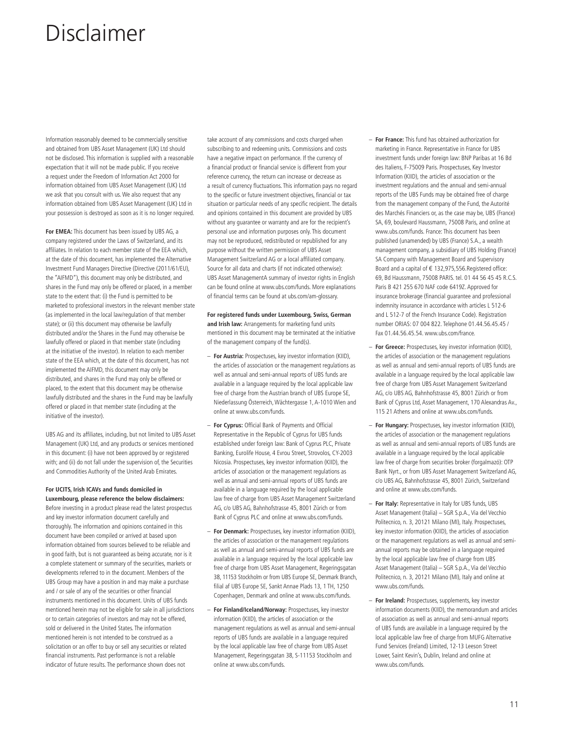Information reasonably deemed to be commercially sensitive and obtained from UBS Asset Management (UK) Ltd should not be disclosed. This information is supplied with a reasonable expectation that it will not be made public. If you receive a request under the Freedom of Information Act 2000 for information obtained from UBS Asset Management (UK) Ltd we ask that you consult with us. We also request that any information obtained from UBS Asset Management (UK) Ltd in your possession is destroyed as soon as it is no longer required.

**For EMEA:** This document has been issued by UBS AG, a company registered under the Laws of Switzerland, and its affiliates. In relation to each member state of the EEA which, at the date of this document, has implemented the Alternative Investment Fund Managers Directive (Directive (2011/61/EU), the "AIFMD"), this document may only be distributed, and shares in the Fund may only be offered or placed, in a member state to the extent that: (i) the Fund is permitted to be marketed to professional investors in the relevant member state (as implemented in the local law/regulation of that member state); or (ii) this document may otherwise be lawfully distributed and/or the Shares in the Fund may otherwise be lawfully offered or placed in that member state (including at the initiative of the investor). In relation to each member state of the EEA which, at the date of this document, has not implemented the AIFMD, this document may only be distributed, and shares in the Fund may only be offered or placed, to the extent that this document may be otherwise lawfully distributed and the shares in the Fund may be lawfully offered or placed in that member state (including at the initiative of the investor).

UBS AG and its affiliates, including, but not limited to UBS Asset Management (UK) Ltd, and any products or services mentioned in this document: (i) have not been approved by or registered with; and (ii) do not fall under the supervision of, the Securities and Commodities Authority of the United Arab Emirates.

#### **For UCITS, Irish ICAVs and funds domiciled in**

**Luxembourg, please reference the below disclaimers:**  Before investing in a product please read the latest prospectus and key investor information document carefully and thoroughly. The information and opinions contained in this document have been compiled or arrived at based upon information obtained from sources believed to be reliable and in good faith, but is not guaranteed as being accurate, nor is it a complete statement or summary of the securities, markets or developments referred to in the document. Members of the UBS Group may have a position in and may make a purchase and / or sale of any of the securities or other financial instruments mentioned in this document. Units of UBS funds mentioned herein may not be eligible for sale in all jurisdictions or to certain categories of investors and may not be offered, sold or delivered in the United States. The information mentioned herein is not intended to be construed as a solicitation or an offer to buy or sell any securities or related financial instruments. Past performance is not a reliable indicator of future results. The performance shown does not

take account of any commissions and costs charged when subscribing to and redeeming units. Commissions and costs have a negative impact on performance. If the currency of a financial product or financial service is different from your reference currency, the return can increase or decrease as a result of currency fluctuations. This information pays no regard to the specific or future investment objectives, financial or tax situation or particular needs of any specific recipient. The details and opinions contained in this document are provided by UBS without any quarantee or warranty and are for the recipient's personal use and information purposes only. This document may not be reproduced, redistributed or republished for any purpose without the written permission of UBS Asset Management Switzerland AG or a local affiliated company. Source for all data and charts (if not indicated otherwise): UBS Asset ManagementA summary of investor rights in English can be found online at www.ubs.com/funds. More explanations of financial terms can be found at ubs.com/am-glossary.

**For registered funds under Luxembourg, Swiss, German and Irish law:** Arrangements for marketing fund units mentioned in this document may be terminated at the initiative of the management company of the fund(s).

- **For Austria:** Prospectuses, key investor information (KIID), the articles of association or the management regulations as well as annual and semi-annual reports of UBS funds are available in a language required by the local applicable law free of charge from the Austrian branch of UBS Europe SE, Niederlassung Österreich, Wächtergasse 1, A-1010 Wien and online at www.ubs.com/funds.
- **For Cyprus:** Official Bank of Payments and Official Representative in the Republic of Cyprus for UBS funds established under foreign law: Bank of Cyprus PLC, Private Banking, Eurolife House, 4 Evrou Street, Strovolos, CY-2003 Nicosia. Prospectuses, key investor information (KIID), the articles of association or the management regulations as well as annual and semi-annual reports of UBS funds are available in a language required by the local applicable law free of charge from UBS Asset Management Switzerland AG, c/o UBS AG, Bahnhofstrasse 45, 8001 Zürich or from Bank of Cyprus PLC and online at www.ubs.com/funds.
- **For Denmark:** Prospectuses, key investor information (KIID), the articles of association or the management regulations as well as annual and semi-annual reports of UBS funds are available in a language required by the local applicable law free of charge from UBS Asset Management, Regeringsgatan 38, 11153 Stockholm or from UBS Europe SE, Denmark Branch, filial af UBS Europe SE, Sankt Annae Plads 13, 1 TH, 1250 Copenhagen, Denmark and online at www.ubs.com/funds.
- **For Finland/Iceland/Norway:** Prospectuses, key investor information (KIID), the articles of association or the management regulations as well as annual and semi-annual reports of UBS funds are available in a language required by the local applicable law free of charge from UBS Asset Management, Regeringsgatan 38, S-11153 Stockholm and online at www.ubs.com/funds.
- **For France:** This fund has obtained authorization for marketing in France. Representative in France for UBS investment funds under foreign law: BNP Paribas at 16 Bd des Italiens, F-75009 Paris. Prospectuses, Key Investor Information (KIID), the articles of association or the investment regulations and the annual and semi-annual reports of the UBS Funds may be obtained free of charge from the management company of the Fund, the Autorité des Marchés Financiers or, as the case may be, UBS (France) SA, 69, boulevard Haussmann, 75008 Paris, and online at www.ubs.com/funds. France: This document has been published (unamended) by UBS (France) S.A., a wealth management company, a subsidiary of UBS Holding (France) SA Company with Management Board and Supervisory Board and a capital of € 132,975,556.Registered office: 69, Bd Haussmann, 75008 PARIS. tel. 01 44 56 45 45 R.C.S. Paris B 421 255 670 NAF code 6419Z. Approved for insurance brokerage (financial guarantee and professional indemnity insurance in accordance with articles L 512-6 and L 512-7 of the French Insurance Code). Registration number ORIAS: 07 004 822. Telephone 01.44.56.45.45 / Fax 01.44.56.45.54. www.ubs.com/france.
- **For Greece:** Prospectuses, key investor information (KIID), the articles of association or the management regulations as well as annual and semi-annual reports of UBS funds are available in a language required by the local applicable law free of charge from UBS Asset Management Switzerland AG, c/o UBS AG, Bahnhofstrasse 45, 8001 Zürich or from Bank of Cyprus Ltd, Asset Management, 170 Alexandras Av., 115 21 Athens and online at www.ubs.com/funds.
- **For Hungary:** Prospectuses, key investor information (KIID), the articles of association or the management regulations as well as annual and semi-annual reports of UBS funds are available in a language required by the local applicable law free of charge from securities broker (forgalmazó): OTP Bank Nyrt., or from UBS Asset Management Switzerland AG, c/o UBS AG, Bahnhofstrasse 45, 8001 Zürich, Switzerland and online at www.ubs.com/funds.
- **For Italy:** Representative in Italy for UBS funds, UBS Asset Management (Italia) – SGR S.p.A., Via del Vecchio Politecnico, n. 3, 20121 Milano (MI), Italy. Prospectuses, key investor information (KIID), the articles of association or the management regulations as well as annual and semiannual reports may be obtained in a language required by the local applicable law free of charge from UBS Asset Management (Italia) – SGR S.p.A., Via del Vecchio Politecnico, n. 3, 20121 Milano (MI), Italy and online at www.ubs.com/funds.
- **For Ireland:** Prospectuses, supplements, key investor information documents (KIID), the memorandum and articles of association as well as annual and semi-annual reports of UBS funds are available in a language required by the local applicable law free of charge from MUFG Alternative Fund Services (Ireland) Limited, 12-13 Leeson Street Lower, Saint Kevin's, Dublin, Ireland and online at www.ubs.com/funds.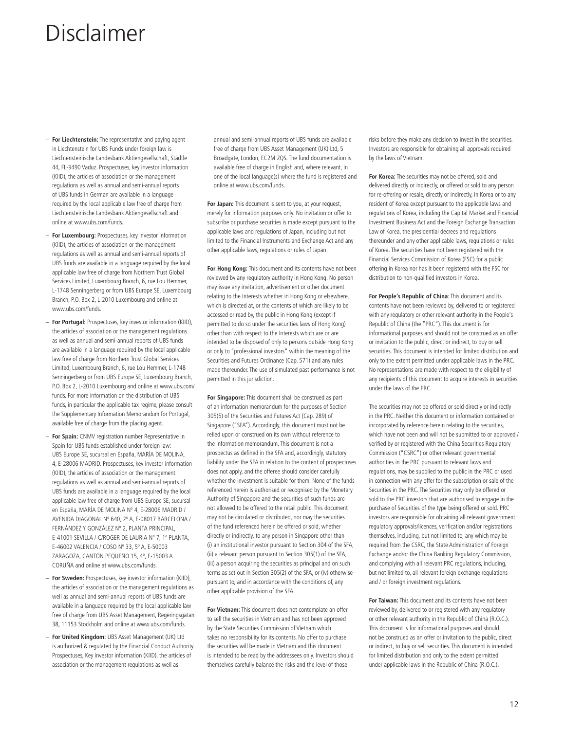- **For Liechtenstein:** The representative and paying agent in Liechtenstein for UBS Funds under foreign law is Liechtensteinische Landesbank Aktiengesellschaft, Städtle 44, FL-9490 Vaduz. Prospectuses, key investor information (KIID), the articles of association or the management regulations as well as annual and semi-annual reports of UBS funds in German are available in a language required by the local applicable law free of charge from Liechtensteinische Landesbank Aktiengesellschaft and online at www.ubs.com/funds.
- **For Luxembourg:** Prospectuses, key investor information (KIID), the articles of association or the management regulations as well as annual and semi-annual reports of UBS funds are available in a language required by the local applicable law free of charge from Northern Trust Global Services Limited, Luxembourg Branch, 6, rue Lou Hemmer, L-1748 Senningerberg or from UBS Europe SE, Luxembourg Branch, P.O. Box 2, L-2010 Luxembourg and online at www.ubs.com/funds.
- **For Portugal:** Prospectuses, key investor information (KIID), the articles of association or the management regulations as well as annual and semi-annual reports of UBS funds are available in a language required by the local applicable law free of charge from Northern Trust Global Services Limited, Luxembourg Branch, 6, rue Lou Hemmer, L-1748 Senningerberg or from UBS Europe SE, Luxembourg Branch, P.O. Box 2, L-2010 Luxembourg and online at www.ubs.com/ funds. For more information on the distribution of UBS funds, in particular the applicable tax regime, please consult the Supplementary Information Memorandum for Portugal, available free of charge from the placing agent.
- **For Spain:** CNMV registration number Representative in Spain for UBS funds established under foreign law: UBS Europe SE, sucursal en España, MARÍA DE MOLINA, 4, E-28006 MADRID. Prospectuses, key investor information (KIID), the articles of association or the management regulations as well as annual and semi-annual reports of UBS funds are available in a language required by the local applicable law free of charge from UBS Europe SE, sucursal en España, MARÍA DE MOLINA Nº 4, E-28006 MADRID / AVENIDA DIAGONAL Nº 640, 2º A, E-08017 BARCELONA / FERNÁNDEZ Y GONZÁLEZ Nº 2, PLANTA PRINCIPAL, E-41001 SEVILLA / C/ROGER DE LAURIA Nº 7, 1ª PLANTA, E-46002 VALENCIA / COSO Nº 33, 5º A, E-50003 ZARAGOZA, CANTÓN PEQUEÑO 15, 4º, E-15003 A CORUÑA and online at www.ubs.com/funds.
- **For Sweden:** Prospectuses, key investor information (KIID), the articles of association or the management regulations as well as annual and semi-annual reports of UBS funds are available in a language required by the local applicable law free of charge from UBS Asset Management, Regeringsgatan 38, 11153 Stockholm and online at www.ubs.com/funds.
- **For United Kingdom:** UBS Asset Management (UK) Ltd is authorized & regulated by the Financial Conduct Authority. Prospectuses, Key investor information (KIID), the articles of association or the management regulations as well as

annual and semi-annual reports of UBS funds are available free of charge from UBS Asset Management (UK) Ltd, 5 Broadgate, London, EC2M 2QS. The fund documentation is available free of charge in English and, where relevant, in one of the local language(s) where the fund is registered and online at www.ubs.com/funds.

**For Japan:** This document is sent to you, at your request, merely for information purposes only. No invitation or offer to subscribe or purchase securities is made except pursuant to the applicable laws and regulations of Japan, including but not limited to the Financial Instruments and Exchange Act and any other applicable laws, regulations or rules of Japan.

**For Hong Kong:** This document and its contents have not been reviewed by any regulatory authority in Hong Kong. No person may issue any invitation, advertisement or other document relating to the Interests whether in Hong Kong or elsewhere, which is directed at, or the contents of which are likely to be accessed or read by, the public in Hong Kong (except if permitted to do so under the securities laws of Hong Kong) other than with respect to the Interests which are or are intended to be disposed of only to persons outside Hong Kong or only to "professional investors" within the meaning of the Securities and Futures Ordinance (Cap. 571) and any rules made thereunder. The use of simulated past performance is not permitted in this jurisdiction.

**For Singapore:** This document shall be construed as part of an information memorandum for the purposes of Section 305(5) of the Securities and Futures Act (Cap. 289) of Singapore ("SFA"). Accordingly, this document must not be relied upon or construed on its own without reference to the information memorandum. This document is not a prospectus as defined in the SFA and, accordingly, statutory liability under the SFA in relation to the content of prospectuses does not apply, and the offeree should consider carefully whether the investment is suitable for them. None of the funds referenced herein is authorised or recognised by the Monetary Authority of Singapore and the securities of such funds are not allowed to be offered to the retail public. This document may not be circulated or distributed, nor may the securities of the fund referenced herein be offered or sold, whether directly or indirectly, to any person in Singapore other than (i) an institutional investor pursuant to Section 304 of the SFA, (ii) a relevant person pursuant to Section 305(1) of the SFA, (iii) a person acquiring the securities as principal and on such terms as set out in Section 305(2) of the SFA, or (iv) otherwise pursuant to, and in accordance with the conditions of, any other applicable provision of the SFA.

**For Vietnam:** This document does not contemplate an offer to sell the securities in Vietnam and has not been approved by the State Securities Commission of Vietnam which takes no responsibility for its contents. No offer to purchase the securities will be made in Vietnam and this document is intended to be read by the addressees only. Investors should themselves carefully balance the risks and the level of those

risks before they make any decision to invest in the securities. Investors are responsible for obtaining all approvals required by the laws of Vietnam.

**For Korea:** The securities may not be offered, sold and delivered directly or indirectly, or offered or sold to any person for re-offering or resale, directly or indirectly, in Korea or to any resident of Korea except pursuant to the applicable laws and regulations of Korea, including the Capital Market and Financial Investment Business Act and the Foreign Exchange Transaction Law of Korea, the presidential decrees and regulations thereunder and any other applicable laws, regulations or rules of Korea. The securities have not been registered with the Financial Services Commission of Korea (FSC) for a public offering in Korea nor has it been registered with the FSC for distribution to non-qualified investors in Korea.

**For People's Republic of China**: This document and its contents have not been reviewed by, delivered to or registered with any regulatory or other relevant authority in the People's Republic of China (the "PRC"). This document is for informational purposes and should not be construed as an offer or invitation to the public, direct or indirect, to buy or sell securities. This document is intended for limited distribution and only to the extent permitted under applicable laws in the PRC. No representations are made with respect to the eligibility of any recipients of this document to acquire interests in securities under the laws of the PRC.

The securities may not be offered or sold directly or indirectly in the PRC. Neither this document or information contained or incorporated by reference herein relating to the securities, which have not been and will not be submitted to or approved / verified by or registered with the China Securities Regulatory Commission ("CSRC") or other relevant governmental authorities in the PRC pursuant to relevant laws and regulations, may be supplied to the public in the PRC or used in connection with any offer for the subscription or sale of the Securities in the PRC. The Securities may only be offered or sold to the PRC investors that are authorised to engage in the purchase of Securities of the type being offered or sold. PRC investors are responsible for obtaining all relevant government regulatory approvals/licences, verification and/or registrations themselves, including, but not limited to, any which may be required from the CSRC, the State Administration of Foreign Exchange and/or the China Banking Regulatory Commission, and complying with all relevant PRC regulations, including, but not limited to, all relevant foreign exchange regulations and / or foreign investment regulations.

**For Taiwan:** This document and its contents have not been reviewed by, delivered to or registered with any regulatory or other relevant authority in the Republic of China (R.O.C.). This document is for informational purposes and should not be construed as an offer or invitation to the public, direct or indirect, to buy or sell securities. This document is intended for limited distribution and only to the extent permitted under applicable laws in the Republic of China (R.O.C.).